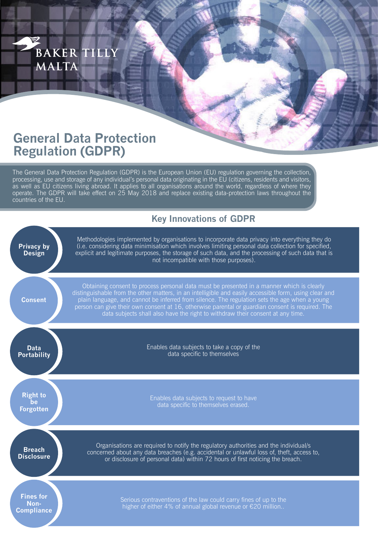

## **General Data Protection Regulation (GDPR)**

The General Data Protection Regulation (GDPR) is the European Union (EU) regulation governing the collection, processing, use and storage of any individual's personal data originating in the EU (citizens, residents and visitors, as well as EU citizens living abroad. It applies to all organisations around the world, regardless of where they operate. The GDPR will take effect on 25 May 2018 and replace existing data-protection laws throughout the countries of the EU.

## **Key Innovations of GDPR**